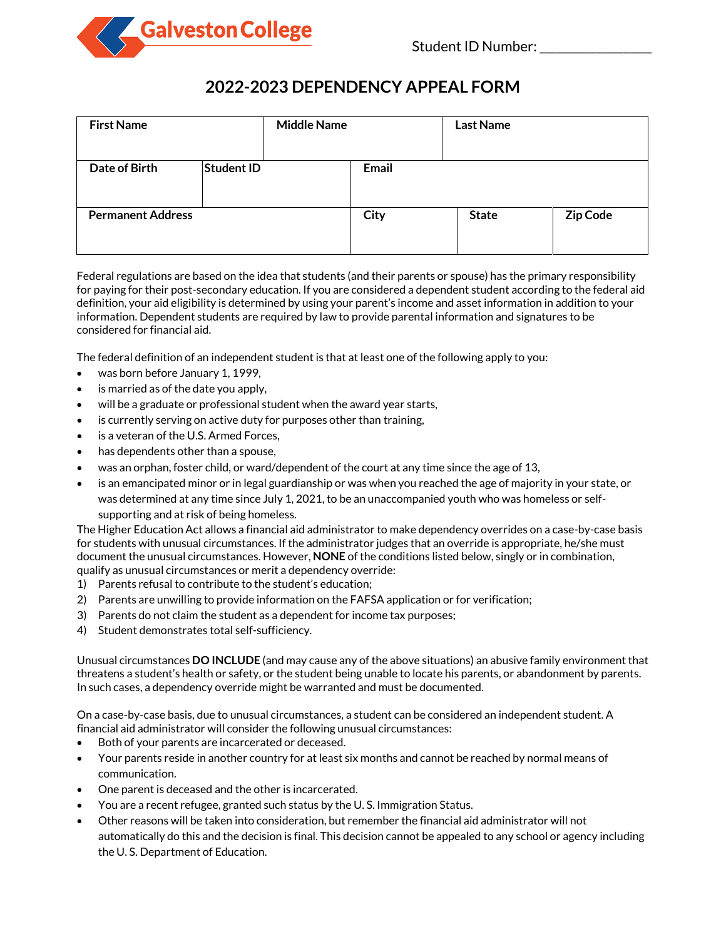

## **2022-2023 DEPENDENCY APPEAL FORM**

| <b>First Name</b>        |                   | <b>Middle Name</b> |       | <b>Last Name</b> |          |
|--------------------------|-------------------|--------------------|-------|------------------|----------|
| Date of Birth            | <b>Student ID</b> |                    | Email |                  |          |
| <b>Permanent Address</b> |                   |                    | City  | <b>State</b>     | Zip Code |

Federal regulations are based on the idea that students (and their parents or spouse) has the primary responsibility for paying for their post-secondary education. If you are considered a dependent student according to the federal aid definition, your aid eligibility is determined by using your parent's income and asset information in addition to your information. Dependent students are required by law to provide parental information and signatures to be considered for financial aid.

The federal definition of an independent student is that at least one of the following apply to you:

- was born before January 1, 1999,
- is married as of the date you apply,
- will be a graduate or professional student when the award year starts,
- is currently serving on active duty for purposes other than training,
- is a veteran of the U.S. Armed Forces,
- has dependents other than a spouse,
- was an orphan, foster child, or ward/dependent of the court at any time since the age of 13,
- is an emancipated minor or in legal guardianship or was when you reached the age of majority in your state, or was determined at any time since July 1, 2021, to be an unaccompanied youth who was homeless or selfsupporting and at risk of being homeless.

The Higher Education Act allows a financial aid administrator to make dependency overrides on a case-by-case basis for students with unusual circumstances. If the administrator judges that an override is appropriate, he/she must document the unusual circumstances. However, **NONE** of the conditions listed below, singly or in combination, qualify as unusual circumstances or merit a dependency override:

- 1) Parents refusal to contribute to the student's education;
- 2) Parents are unwilling to provide information on the FAFSA application or for verification;
- 3) Parents do not claim the student as a dependent for income tax purposes;
- 4) Student demonstrates total self-sufficiency.

Unusual circumstances **DO INCLUDE** (and may cause any of the above situations) an abusive family environment that threatens a student's health or safety, or the student being unable to locate his parents, or abandonment by parents. In such cases, a dependency override might be warranted and must be documented.

On a case-by-case basis, due to unusual circumstances, a student can be considered an independent student. A financial aid administrator will consider the following unusual circumstances:

- Both of your parents are incarcerated or deceased.
- Your parents reside in another country for at least six months and cannot be reached by normal means of communication.
- One parent is deceased and the other is incarcerated.
- You are a recent refugee, granted such status by the U. S. Immigration Status.
- Other reasons will be taken into consideration, but remember the financial aid administrator will not automatically do this and the decision is final. This decision cannot be appealed to any school or agency including the U. S. Department of Education.